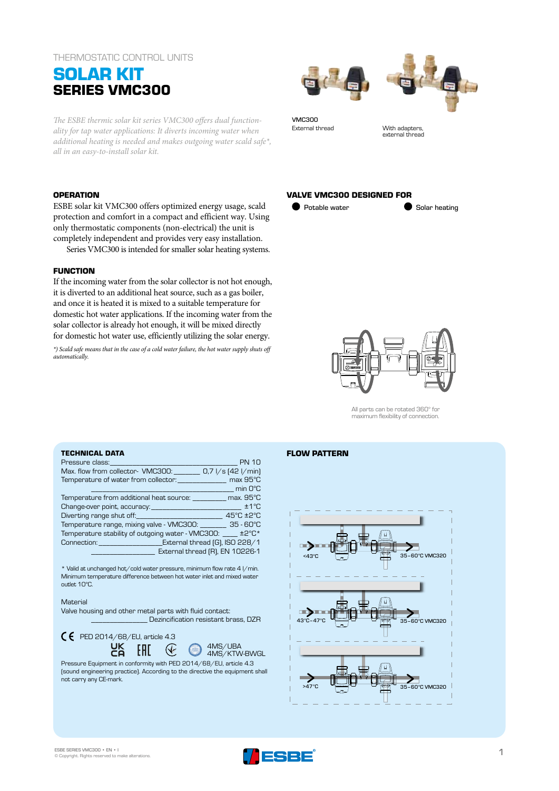## THERMOSTATIC CONTROL UNITS

# **SOLAR KIT SERIES VMC300**

*The ESBE thermic solar kit series VMC300 offers dual functionality for tap water applications: It diverts incoming water when additional heating is needed and makes outgoing water scald safe\*, all in an easy-to-install solar kit.*

## **OPERATION**

ESBE solar kit VMC300 offers optimized energy usage, scald protection and comfort in a compact and efficient way. Using only thermostatic components (non-electrical) the unit is completely independent and provides very easy installation.

Series VMC300 is intended for smaller solar heating systems.

## **FUNCTION**

If the incoming water from the solar collector is not hot enough, it is diverted to an additional heat source, such as a gas boiler, and once it is heated it is mixed to a suitable temperature for domestic hot water applications. If the incoming water from the solar collector is already hot enough, it will be mixed directly for domestic hot water use, efficiently utilizing the solar energy.

*\*) Scald safe means that in the case of a cold water failure, the hot water supply shuts off automatically.*





VMC300 External thread With adapters

external thread

## **VALVE VMC300 DESIGNED FOR**

**O** Potable water **Solar heating** 



All parts can be rotated 360° for maximum flexibility of connection.

## **TECHNICAL DATA**

| <b>Pressure class: Contract Contract Contract Contract Contract Contract Contract Contract Contract Contract Contract Contract Contract Contract Contract Contract Contract Contract Contract Contract Contract Contract Contr</b> | <b>PN 10</b>             |
|------------------------------------------------------------------------------------------------------------------------------------------------------------------------------------------------------------------------------------|--------------------------|
| Max. flow from collector- VMC300: 0,7 l/s (42 l/min)                                                                                                                                                                               |                          |
| Temperature of water from collector: max 95°C                                                                                                                                                                                      |                          |
|                                                                                                                                                                                                                                    | <b>Example 1</b> min O°C |
| Temperature from additional heat source: __________ max. 95°C                                                                                                                                                                      |                          |
| Change-over point, accuracy: Management of the contract of the contract of the contract of the contract of the                                                                                                                     | ±1°C                     |
|                                                                                                                                                                                                                                    | 45°C ±2°C                |
| Temperature range, mixing valve - VMC300: _________ 35 - 60°C                                                                                                                                                                      |                          |
| Temperature stability of outgoing water - VMC300: ___ ±2°C*                                                                                                                                                                        |                          |
| Connection: External thread [G], ISO 228/1                                                                                                                                                                                         |                          |
| External thread (R), EN 10226-1                                                                                                                                                                                                    |                          |

\* Valid at unchanged hot/cold water pressure, minimum flow rate 4 l/min. Minimum temperature difference between hot water inlet and mixed water outlet 10°C.

#### Material

Valve housing and other metal parts with fluid contact: \_\_\_\_\_\_\_\_\_\_\_\_\_\_\_ Dezincification resistant brass, DZR



## **FLOW PATTERN**



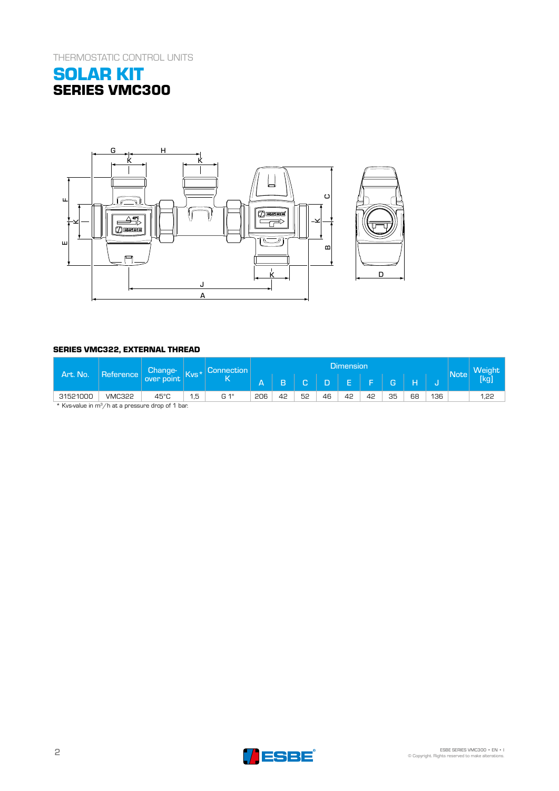THERMOSTATIC CONTROL UNITS





# **SERIES VMC322, EXTERNAL THREAD**

| Art. No.                                                     | <b>Reference</b> | Change-<br>over point | $\sqrt{N}$ | Connection | <b>Dimension</b> |    |    |    |    |                   |    |    |     | Note |      |
|--------------------------------------------------------------|------------------|-----------------------|------------|------------|------------------|----|----|----|----|-------------------|----|----|-----|------|------|
|                                                              |                  |                       |            |            | 7 S Y            | B  | ∽  | D  |    | <b>CONTRACTOR</b> | G. | Н  |     |      | (kg) |
| 31521000                                                     | <b>VMC322</b>    | 45°C                  | 1,5        | G 1"       | 206              | 42 | 52 | 46 | 42 | 42                | 35 | 68 | 136 |      | 1,22 |
| * Kycaralug in m <sup>3</sup> /h at a negocura dean of 1 han |                  |                       |            |            |                  |    |    |    |    |                   |    |    |     |      |      |

Kvs-value in  $m^3/h$  at a pressure drop of 1 bar.